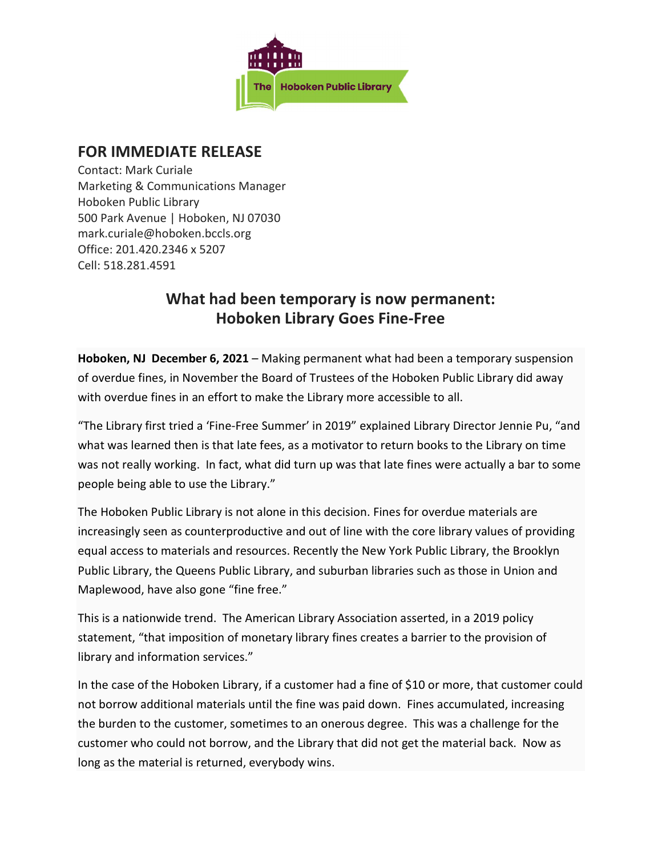

## FOR IMMEDIATE RELEASE

Contact: Mark Curiale Marketing & Communications Manager Hoboken Public Library 500 Park Avenue | Hoboken, NJ 07030 mark.curiale@hoboken.bccls.org Office: 201.420.2346 x 5207 Cell: 518.281.4591

## What had been temporary is now permanent: Hoboken Library Goes Fine-Free

Hoboken, NJ December 6, 2021 – Making permanent what had been a temporary suspension of overdue fines, in November the Board of Trustees of the Hoboken Public Library did away with overdue fines in an effort to make the Library more accessible to all.

"The Library first tried a 'Fine-Free Summer' in 2019" explained Library Director Jennie Pu, "and what was learned then is that late fees, as a motivator to return books to the Library on time was not really working. In fact, what did turn up was that late fines were actually a bar to some people being able to use the Library."

The Hoboken Public Library is not alone in this decision. Fines for overdue materials are increasingly seen as counterproductive and out of line with the core library values of providing equal access to materials and resources. Recently the New York Public Library, the Brooklyn Public Library, the Queens Public Library, and suburban libraries such as those in Union and Maplewood, have also gone "fine free."

This is a nationwide trend. The American Library Association asserted, in a 2019 policy statement, "that imposition of monetary library fines creates a barrier to the provision of library and information services."

In the case of the Hoboken Library, if a customer had a fine of \$10 or more, that customer could not borrow additional materials until the fine was paid down. Fines accumulated, increasing the burden to the customer, sometimes to an onerous degree. This was a challenge for the customer who could not borrow, and the Library that did not get the material back. Now as long as the material is returned, everybody wins.